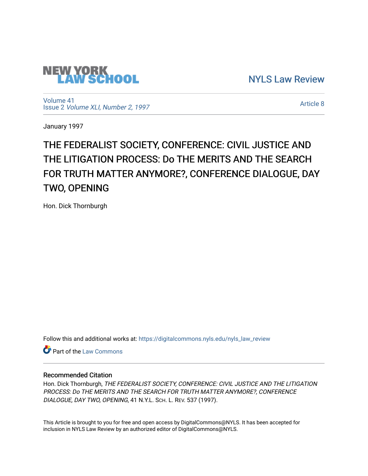

[NYLS Law Review](https://digitalcommons.nyls.edu/nyls_law_review) 

[Volume 41](https://digitalcommons.nyls.edu/nyls_law_review/vol41) Issue 2 [Volume XLI, Number 2, 1997](https://digitalcommons.nyls.edu/nyls_law_review/vol41/iss2)

[Article 8](https://digitalcommons.nyls.edu/nyls_law_review/vol41/iss2/8) 

January 1997

# THE FEDERALIST SOCIETY, CONFERENCE: CIVIL JUSTICE AND THE LITIGATION PROCESS: Do THE MERITS AND THE SEARCH FOR TRUTH MATTER ANYMORE?, CONFERENCE DIALOGUE, DAY TWO, OPENING

Hon. Dick Thornburgh

Follow this and additional works at: [https://digitalcommons.nyls.edu/nyls\\_law\\_review](https://digitalcommons.nyls.edu/nyls_law_review?utm_source=digitalcommons.nyls.edu%2Fnyls_law_review%2Fvol41%2Fiss2%2F8&utm_medium=PDF&utm_campaign=PDFCoverPages) 

Part of the [Law Commons](https://network.bepress.com/hgg/discipline/578?utm_source=digitalcommons.nyls.edu%2Fnyls_law_review%2Fvol41%2Fiss2%2F8&utm_medium=PDF&utm_campaign=PDFCoverPages)

# Recommended Citation

Hon. Dick Thornburgh, THE FEDERALIST SOCIETY, CONFERENCE: CIVIL JUSTICE AND THE LITIGATION PROCESS: Do THE MERITS AND THE SEARCH FOR TRUTH MATTER ANYMORE?, CONFERENCE DIALOGUE, DAY TWO, OPENING, 41 N.Y.L. SCH. L. REV. 537 (1997).

This Article is brought to you for free and open access by DigitalCommons@NYLS. It has been accepted for inclusion in NYLS Law Review by an authorized editor of DigitalCommons@NYLS.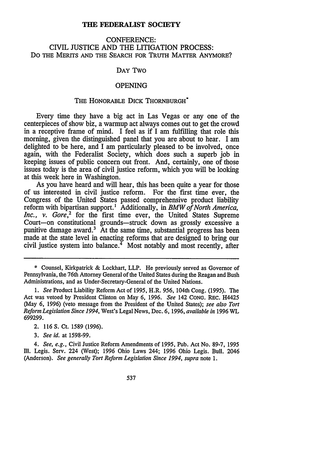#### **THE** FEDERALIST **SOCIETY**

## CONFERENCE: CIVIL JUSTICE AND THE LITIGATION PROCESS: Do THE MERITS **AND** THE SEARCH FOR TRUTH MATTER ANYMORE?

### DAY Two

#### **OPENING**

#### THE HONORABLE DICK THORNBURGH<sup>\*</sup>

Every time they have a big act in Las Vegas or any one of the centerpieces of show biz, a warmup act always comes out to get the crowd in a receptive frame of mind. I feel as if I am fulfilling that role this morning, given the distinguished panel that you are about to hear. I am delighted to be here, and I am particularly pleased to be involved, once again, with the Federalist Society, which does such a superb job in keeping issues of public concern out front. And, certainly, one of those issues today is the area of civil justice reform, which you will be looking at this week here in Washington.

As you have heard and will hear, this has been quite a year for those of us interested in civil justice reform. For the first time ever, the Congress of the United States passed comprehensive product liability reform with bipartisan support.' Additionally, in *BMW of North America, Inc., v. Gore*<sup>2</sup>, for the first time ever, the United States Supreme Court-on constitutional grounds-struck down as grossly excessive a punitive damage award.<sup>3</sup> At the same time, substantial progress has been made at the state level in enacting reforms that are designed to bring our civil justice system into balance.<sup> $\frac{4}{1}$ </sup> Most notably and most recently, after

*1. See* Product Liability Reform Act of 1995, H.R. 956, 104th Cong. (1995). The Act was vetoed by President Clinton on May 6, 1996. *See* 142 CONG. REc. H4425 (May 6, 1996) (veto message from the President of the United States); *see also Tort Reform Legislation Since 1994,* West's Legal News, Dec. 6, 1996, *available in* 1996 WL 699299.

2. 116 **S.** Ct. 1589 (1996).

*3. See id.* at 1598-99.

*4. See, e.g.,* Civil Justice Reform Amendments of 1995, Pub. Act No. 89-7, 1995 **I11.** Legis. Serv. 224 (West); 1996 Ohio Laws 244; 1996 Ohio Legis. Bull. 2046 (Anderson). *See generally Tort Reform Legislation Since 1994, supra* note 1.

537

<sup>\*</sup> Counsel, Kirkpatrick & Lockhart, LLP. He previously served as Governor of Pennsylvania, the 76th Attorney General of the United States during the Reagan and Bush Administrations, and as Under-Secretary-General of the United Nations.